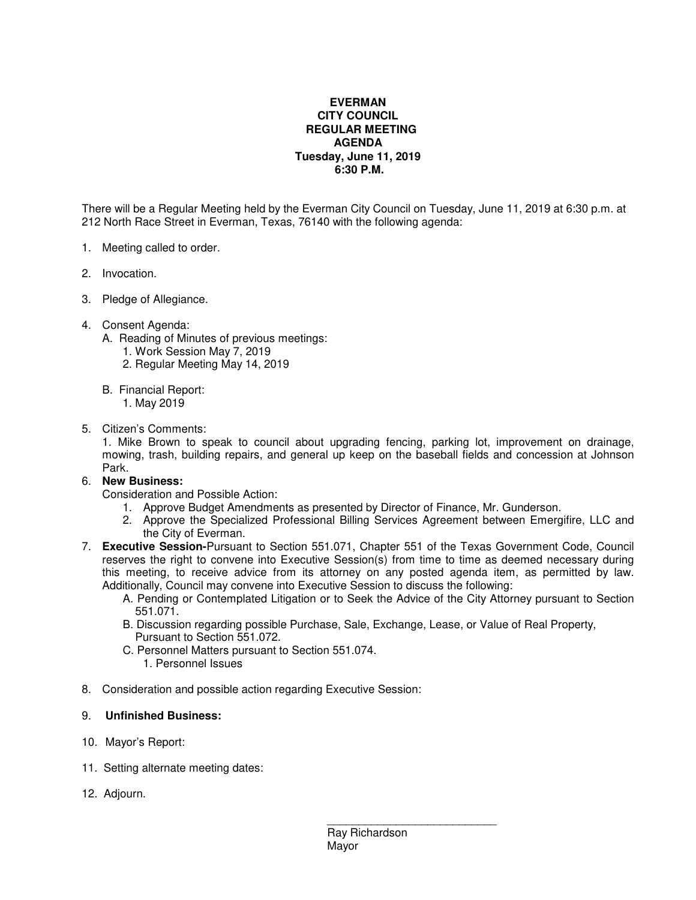## **EVERMAN CITY COUNCIL REGULAR MEETING AGENDA Tuesday, June 11, 2019 6:30 P.M.**

There will be a Regular Meeting held by the Everman City Council on Tuesday, June 11, 2019 at 6:30 p.m. at 212 North Race Street in Everman, Texas, 76140 with the following agenda:

- 1. Meeting called to order.
- 2. Invocation.
- 3. Pledge of Allegiance.
- 4. Consent Agenda:
	- A. Reading of Minutes of previous meetings:
		- 1. Work Session May 7, 2019
		- 2. Regular Meeting May 14, 2019
	- B. Financial Report:
		- 1. May 2019
- 5. Citizen's Comments:

1. Mike Brown to speak to council about upgrading fencing, parking lot, improvement on drainage, mowing, trash, building repairs, and general up keep on the baseball fields and concession at Johnson Park.

## 6. **New Business:**

Consideration and Possible Action:

- 1. Approve Budget Amendments as presented by Director of Finance, Mr. Gunderson.
- 2. Approve the Specialized Professional Billing Services Agreement between Emergifire, LLC and the City of Everman.
- 7. **Executive Session-**Pursuant to Section 551.071, Chapter 551 of the Texas Government Code, Council reserves the right to convene into Executive Session(s) from time to time as deemed necessary during this meeting, to receive advice from its attorney on any posted agenda item, as permitted by law. Additionally, Council may convene into Executive Session to discuss the following:
	- A. Pending or Contemplated Litigation or to Seek the Advice of the City Attorney pursuant to Section 551.071.
	- B. Discussion regarding possible Purchase, Sale, Exchange, Lease, or Value of Real Property, Pursuant to Section 551.072.
	- C. Personnel Matters pursuant to Section 551.074.
		- 1. Personnel Issues
- 8. Consideration and possible action regarding Executive Session:

## 9. **Unfinished Business:**

- 10. Mayor's Report:
- 11. Setting alternate meeting dates:
- 12. Adjourn.